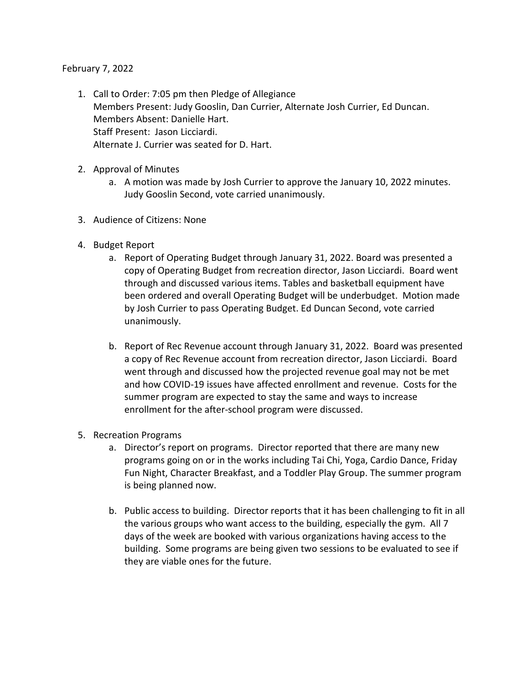## February 7, 2022

- 1. Call to Order: 7:05 pm then Pledge of Allegiance Members Present: Judy Gooslin, Dan Currier, Alternate Josh Currier, Ed Duncan. Members Absent: Danielle Hart. Staff Present: Jason Licciardi. Alternate J. Currier was seated for D. Hart.
- 2. Approval of Minutes
	- a. A motion was made by Josh Currier to approve the January 10, 2022 minutes. Judy Gooslin Second, vote carried unanimously.
- 3. Audience of Citizens: None
- 4. Budget Report
	- a. Report of Operating Budget through January 31, 2022. Board was presented a copy of Operating Budget from recreation director, Jason Licciardi. Board went through and discussed various items. Tables and basketball equipment have been ordered and overall Operating Budget will be underbudget. Motion made by Josh Currier to pass Operating Budget. Ed Duncan Second, vote carried unanimously.
	- b. Report of Rec Revenue account through January 31, 2022. Board was presented a copy of Rec Revenue account from recreation director, Jason Licciardi. Board went through and discussed how the projected revenue goal may not be met and how COVID-19 issues have affected enrollment and revenue. Costs for the summer program are expected to stay the same and ways to increase enrollment for the after-school program were discussed.
- 5. Recreation Programs
	- a. Director's report on programs. Director reported that there are many new programs going on or in the works including Tai Chi, Yoga, Cardio Dance, Friday Fun Night, Character Breakfast, and a Toddler Play Group. The summer program is being planned now.
	- b. Public access to building. Director reports that it has been challenging to fit in all the various groups who want access to the building, especially the gym. All 7 days of the week are booked with various organizations having access to the building. Some programs are being given two sessions to be evaluated to see if they are viable ones for the future.